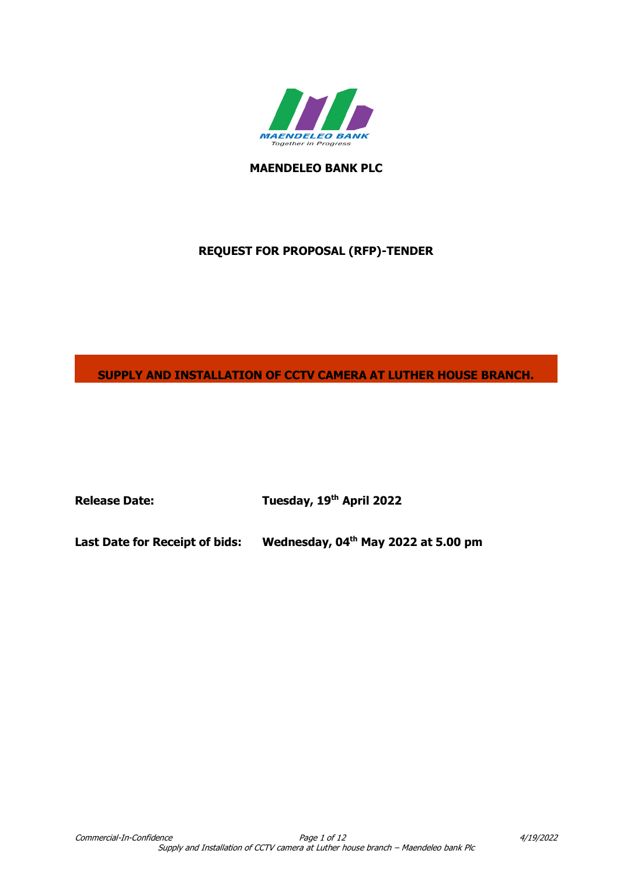

**MAENDELEO BANK PLC**

# **REQUEST FOR PROPOSAL (RFP)-TENDER**

**SUPPLY AND INSTALLATION OF CCTV CAMERA AT LUTHER HOUSE BRANCH.**

**Release Date: Tuesday, 19th April 2022**

**Last Date for Receipt of bids: th May 2022 at 5.00 pm**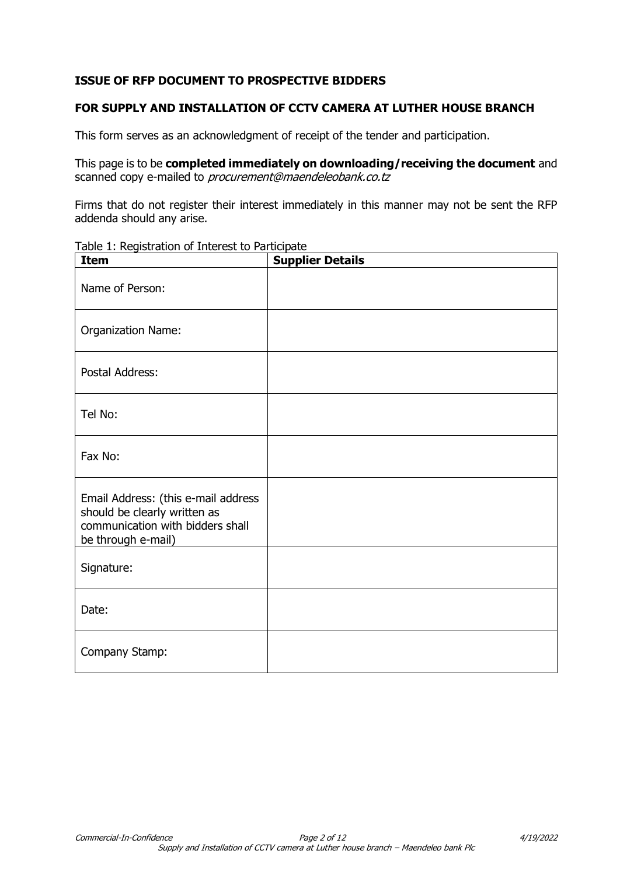# **ISSUE OF RFP DOCUMENT TO PROSPECTIVE BIDDERS**

## **FOR SUPPLY AND INSTALLATION OF CCTV CAMERA AT LUTHER HOUSE BRANCH**

This form serves as an acknowledgment of receipt of the tender and participation.

This page is to be **completed immediately on downloading/receiving the document** and scanned copy e-mailed to *procurement@maendeleobank.co.tz* 

Firms that do not register their interest immediately in this manner may not be sent the RFP addenda should any arise.

| Table 1: Registration of Interest to Participate |  |  |  |  |
|--------------------------------------------------|--|--|--|--|
|--------------------------------------------------|--|--|--|--|

| <b>Item</b>                                                                                                                   | <b>Supplier Details</b> |
|-------------------------------------------------------------------------------------------------------------------------------|-------------------------|
| Name of Person:                                                                                                               |                         |
| Organization Name:                                                                                                            |                         |
| Postal Address:                                                                                                               |                         |
| Tel No:                                                                                                                       |                         |
| Fax No:                                                                                                                       |                         |
| Email Address: (this e-mail address<br>should be clearly written as<br>communication with bidders shall<br>be through e-mail) |                         |
| Signature:                                                                                                                    |                         |
| Date:                                                                                                                         |                         |
| Company Stamp:                                                                                                                |                         |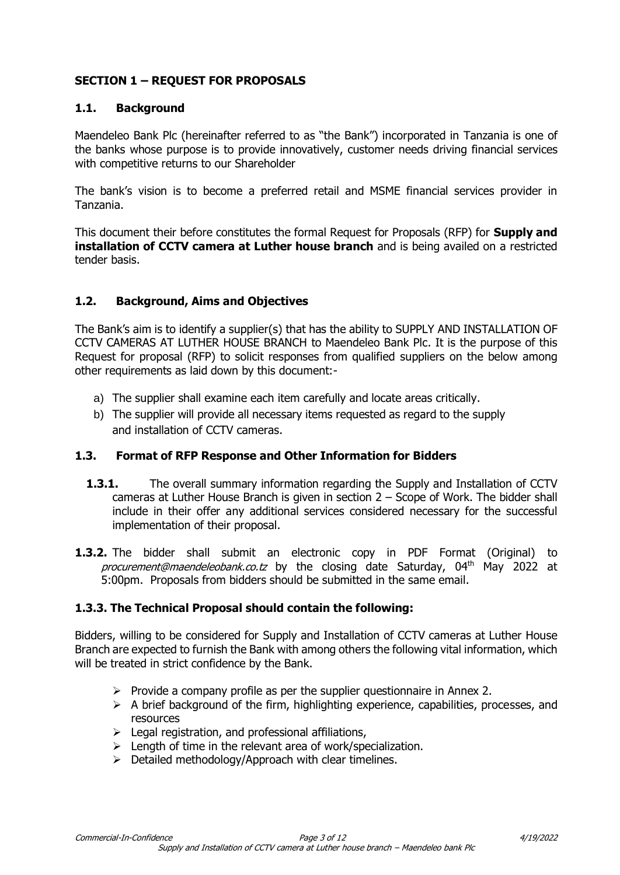# **SECTION 1 – REQUEST FOR PROPOSALS**

#### **1.1. Background**

Maendeleo Bank Plc (hereinafter referred to as "the Bank") incorporated in Tanzania is one of the banks whose purpose is to provide innovatively, customer needs driving financial services with competitive returns to our Shareholder

The bank's vision is to become a preferred retail and MSME financial services provider in Tanzania.

This document their before constitutes the formal Request for Proposals (RFP) for **Supply and installation of CCTV camera at Luther house branch** and is being availed on a restricted tender basis.

## **1.2. Background, Aims and Objectives**

The Bank's aim is to identify a supplier(s) that has the ability to SUPPLY AND INSTALLATION OF CCTV CAMERAS AT LUTHER HOUSE BRANCH to Maendeleo Bank Plc. It is the purpose of this Request for proposal (RFP) to solicit responses from qualified suppliers on the below among other requirements as laid down by this document:-

- a) The supplier shall examine each item carefully and locate areas critically.
- b) The supplier will provide all necessary items requested as regard to the supply and installation of CCTV cameras.

#### **1.3. Format of RFP Response and Other Information for Bidders**

- **1.3.1.** The overall summary information regarding the Supply and Installation of CCTV cameras at Luther House Branch is given in section 2 – Scope of Work. The bidder shall include in their offer any additional services considered necessary for the successful implementation of their proposal.
- **1.3.2.** The bidder shall submit an electronic copy in PDF Format (Original) to procurement@maendeleobank.co.tz by the closing date Saturday, 04<sup>th</sup> May 2022 at 5:00pm. Proposals from bidders should be submitted in the same email.

## **1.3.3. The Technical Proposal should contain the following:**

Bidders, willing to be considered for Supply and Installation of CCTV cameras at Luther House Branch are expected to furnish the Bank with among others the following vital information, which will be treated in strict confidence by the Bank.

- $\triangleright$  Provide a company profile as per the supplier questionnaire in Annex 2.
- $\triangleright$  A brief background of the firm, highlighting experience, capabilities, processes, and resources
- $\triangleright$  Legal registration, and professional affiliations,
- $\triangleright$  Length of time in the relevant area of work/specialization.
- $\triangleright$  Detailed methodology/Approach with clear timelines.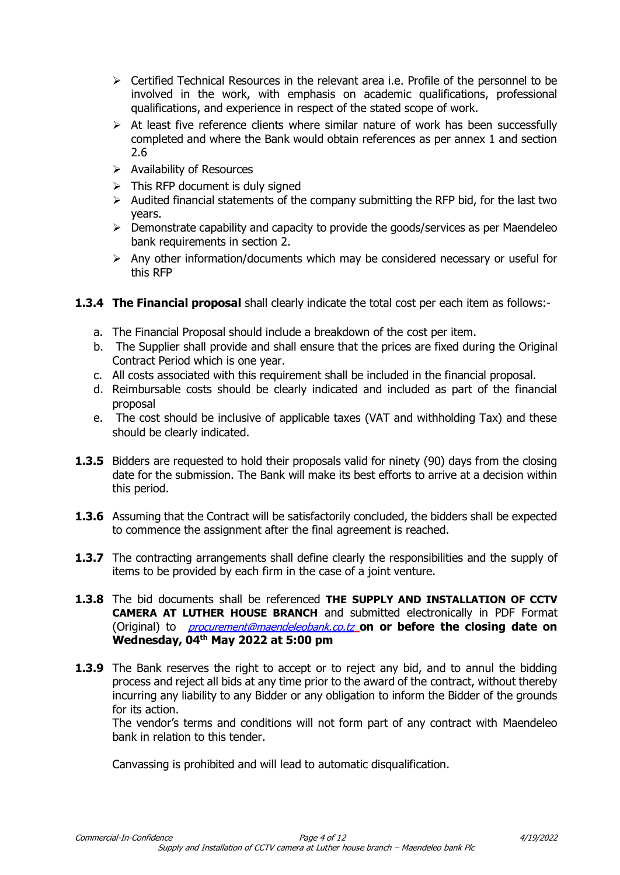- $\triangleright$  Certified Technical Resources in the relevant area i.e. Profile of the personnel to be involved in the work, with emphasis on academic qualifications, professional qualifications, and experience in respect of the stated scope of work.
- $\triangleright$  At least five reference clients where similar nature of work has been successfully completed and where the Bank would obtain references as per annex 1 and section 2.6
- $\triangleright$  Availability of Resources
- $\triangleright$  This RFP document is duly signed
- $\triangleright$  Audited financial statements of the company submitting the RFP bid, for the last two years.
- $\triangleright$  Demonstrate capability and capacity to provide the goods/services as per Maendeleo bank requirements in section 2.
- $\triangleright$  Any other information/documents which may be considered necessary or useful for this RFP
- **1.3.4 The Financial proposal** shall clearly indicate the total cost per each item as follows:
	- a. The Financial Proposal should include a breakdown of the cost per item.
	- b. The Supplier shall provide and shall ensure that the prices are fixed during the Original Contract Period which is one year.
	- c. All costs associated with this requirement shall be included in the financial proposal.
	- d. Reimbursable costs should be clearly indicated and included as part of the financial proposal
	- e. The cost should be inclusive of applicable taxes (VAT and withholding Tax) and these should be clearly indicated.
- **1.3.5** Bidders are requested to hold their proposals valid for ninety (90) days from the closing date for the submission. The Bank will make its best efforts to arrive at a decision within this period.
- **1.3.6** Assuming that the Contract will be satisfactorily concluded, the bidders shall be expected to commence the assignment after the final agreement is reached.
- **1.3.7** The contracting arrangements shall define clearly the responsibilities and the supply of items to be provided by each firm in the case of a joint venture.
- **1.3.8** The bid documents shall be referenced **THE SUPPLY AND INSTALLATION OF CCTV CAMERA AT LUTHER HOUSE BRANCH** and submitted electronically in PDF Format (Original) to [procurement@maendeleobank.co.tz](mailto:procurement@maendeleobank.co.tz) **on or before the closing date on Wednesday, 04 th May 2022 at 5:00 pm**
- **1.3.9** The Bank reserves the right to accept or to reject any bid, and to annul the bidding process and reject all bids at any time prior to the award of the contract, without thereby incurring any liability to any Bidder or any obligation to inform the Bidder of the grounds for its action.

The vendor's terms and conditions will not form part of any contract with Maendeleo bank in relation to this tender.

Canvassing is prohibited and will lead to automatic disqualification.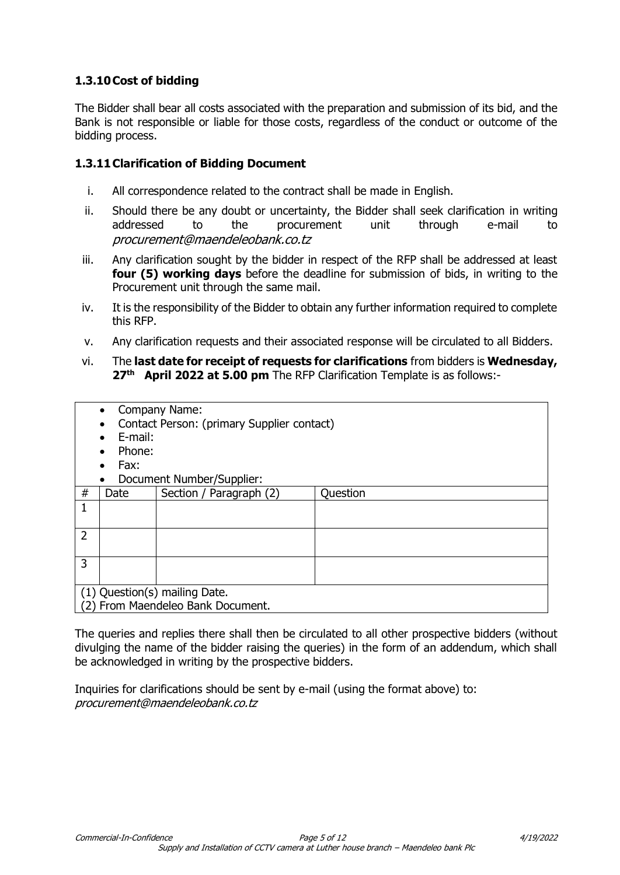# **1.3.10Cost of bidding**

The Bidder shall bear all costs associated with the preparation and submission of its bid, and the Bank is not responsible or liable for those costs, regardless of the conduct or outcome of the bidding process.

## **1.3.11Clarification of Bidding Document**

- i. All correspondence related to the contract shall be made in English.
- ii. Should there be any doubt or uncertainty, the Bidder shall seek clarification in writing addressed to the procurement unit through e-mail to procurement@maendeleobank.co.tz
- iii. Any clarification sought by the bidder in respect of the RFP shall be addressed at least **four (5) working days** before the deadline for submission of bids, in writing to the Procurement unit through the same mail.
- iv. It is the responsibility of the Bidder to obtain any further information required to complete this RFP.
- v. Any clarification requests and their associated response will be circulated to all Bidders.
- vi. The **last date for receipt of requests for clarifications** from bidders is **Wednesday, 27th April 2022 at 5.00 pm** The RFP Clarification Template is as follows:-

|                                   | Company Name:<br>$\bullet$                 |                           |          |  |  |  |
|-----------------------------------|--------------------------------------------|---------------------------|----------|--|--|--|
|                                   | Contact Person: (primary Supplier contact) |                           |          |  |  |  |
|                                   | E-mail:                                    |                           |          |  |  |  |
|                                   | Phone:                                     |                           |          |  |  |  |
|                                   | Fax:                                       |                           |          |  |  |  |
|                                   | ٠                                          | Document Number/Supplier: |          |  |  |  |
| #                                 | Date                                       | Section / Paragraph (2)   | Question |  |  |  |
| 1                                 |                                            |                           |          |  |  |  |
|                                   |                                            |                           |          |  |  |  |
| $\overline{2}$                    |                                            |                           |          |  |  |  |
|                                   |                                            |                           |          |  |  |  |
| 3                                 |                                            |                           |          |  |  |  |
|                                   |                                            |                           |          |  |  |  |
| (1) Question(s) mailing Date.     |                                            |                           |          |  |  |  |
| (2) From Maendeleo Bank Document. |                                            |                           |          |  |  |  |

The queries and replies there shall then be circulated to all other prospective bidders (without divulging the name of the bidder raising the queries) in the form of an addendum, which shall be acknowledged in writing by the prospective bidders.

Inquiries for clarifications should be sent by e-mail (using the format above) to: procurement@maendeleobank.co.tz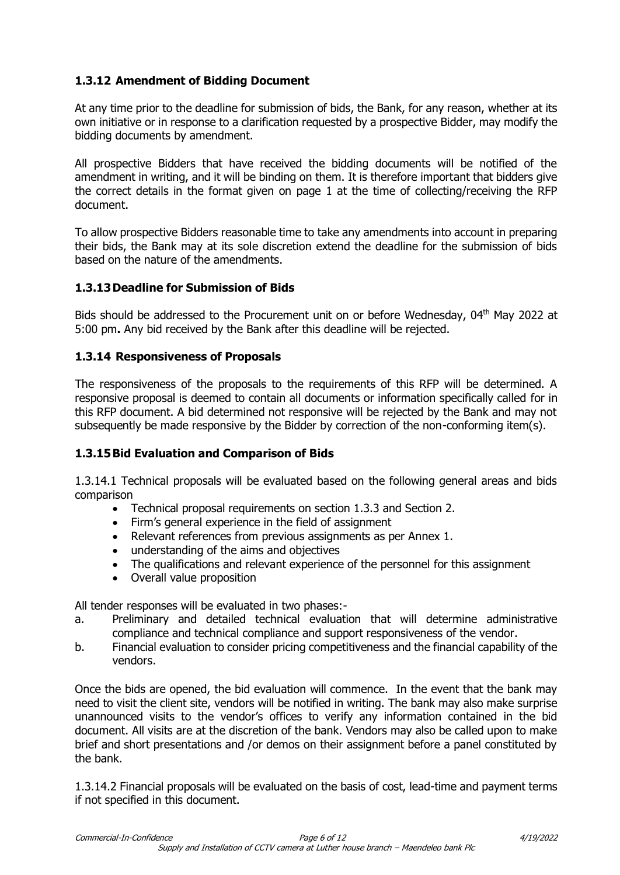# **1.3.12 Amendment of Bidding Document**

At any time prior to the deadline for submission of bids, the Bank, for any reason, whether at its own initiative or in response to a clarification requested by a prospective Bidder, may modify the bidding documents by amendment.

All prospective Bidders that have received the bidding documents will be notified of the amendment in writing, and it will be binding on them. It is therefore important that bidders give the correct details in the format given on page 1 at the time of collecting/receiving the RFP document.

To allow prospective Bidders reasonable time to take any amendments into account in preparing their bids, the Bank may at its sole discretion extend the deadline for the submission of bids based on the nature of the amendments.

## **1.3.13Deadline for Submission of Bids**

Bids should be addressed to the Procurement unit on or before Wednesday, 04<sup>th</sup> May 2022 at 5:00 pm**.** Any bid received by the Bank after this deadline will be rejected.

#### **1.3.14 Responsiveness of Proposals**

The responsiveness of the proposals to the requirements of this RFP will be determined. A responsive proposal is deemed to contain all documents or information specifically called for in this RFP document. A bid determined not responsive will be rejected by the Bank and may not subsequently be made responsive by the Bidder by correction of the non-conforming item(s).

## **1.3.15Bid Evaluation and Comparison of Bids**

1.3.14.1 Technical proposals will be evaluated based on the following general areas and bids comparison

- Technical proposal requirements on section 1.3.3 and Section 2.
- Firm's general experience in the field of assignment
- Relevant references from previous assignments as per Annex 1.
- understanding of the aims and objectives
- The qualifications and relevant experience of the personnel for this assignment
- Overall value proposition

All tender responses will be evaluated in two phases:-

- a. Preliminary and detailed technical evaluation that will determine administrative compliance and technical compliance and support responsiveness of the vendor.
- b. Financial evaluation to consider pricing competitiveness and the financial capability of the vendors.

Once the bids are opened, the bid evaluation will commence. In the event that the bank may need to visit the client site, vendors will be notified in writing. The bank may also make surprise unannounced visits to the vendor's offices to verify any information contained in the bid document. All visits are at the discretion of the bank. Vendors may also be called upon to make brief and short presentations and /or demos on their assignment before a panel constituted by the bank.

1.3.14.2 Financial proposals will be evaluated on the basis of cost, lead-time and payment terms if not specified in this document.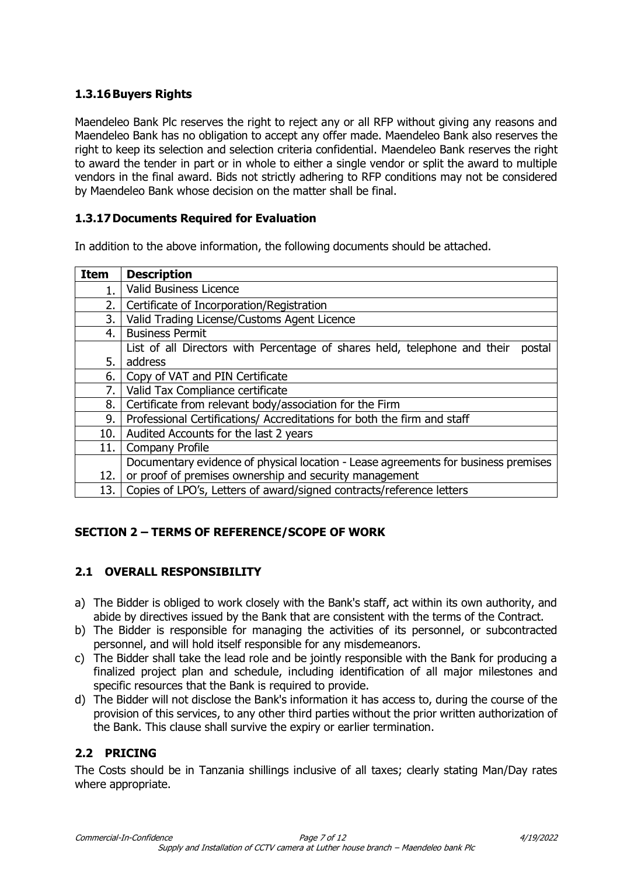# **1.3.16Buyers Rights**

Maendeleo Bank Plc reserves the right to reject any or all RFP without giving any reasons and Maendeleo Bank has no obligation to accept any offer made. Maendeleo Bank also reserves the right to keep its selection and selection criteria confidential. Maendeleo Bank reserves the right to award the tender in part or in whole to either a single vendor or split the award to multiple vendors in the final award. Bids not strictly adhering to RFP conditions may not be considered by Maendeleo Bank whose decision on the matter shall be final.

## **1.3.17Documents Required for Evaluation**

In addition to the above information, the following documents should be attached.

| <b>Item</b> | <b>Description</b>                                                                  |  |  |
|-------------|-------------------------------------------------------------------------------------|--|--|
| 1.          | Valid Business Licence                                                              |  |  |
| 2.          | Certificate of Incorporation/Registration                                           |  |  |
| 3.          | Valid Trading License/Customs Agent Licence                                         |  |  |
| 4.          | <b>Business Permit</b>                                                              |  |  |
|             | List of all Directors with Percentage of shares held, telephone and their<br>postal |  |  |
| 5.          | address                                                                             |  |  |
| 6.          | Copy of VAT and PIN Certificate                                                     |  |  |
| 7.          | Valid Tax Compliance certificate                                                    |  |  |
| 8.          | Certificate from relevant body/association for the Firm                             |  |  |
| 9.          | Professional Certifications/ Accreditations for both the firm and staff             |  |  |
| 10.         | Audited Accounts for the last 2 years                                               |  |  |
| 11.         | <b>Company Profile</b>                                                              |  |  |
|             | Documentary evidence of physical location - Lease agreements for business premises  |  |  |
| 12.         | or proof of premises ownership and security management                              |  |  |
| 13.         | Copies of LPO's, Letters of award/signed contracts/reference letters                |  |  |

## **SECTION 2 – TERMS OF REFERENCE/SCOPE OF WORK**

## **2.1 OVERALL RESPONSIBILITY**

- a) The Bidder is obliged to work closely with the Bank's staff, act within its own authority, and abide by directives issued by the Bank that are consistent with the terms of the Contract.
- b) The Bidder is responsible for managing the activities of its personnel, or subcontracted personnel, and will hold itself responsible for any misdemeanors.
- c) The Bidder shall take the lead role and be jointly responsible with the Bank for producing a finalized project plan and schedule, including identification of all major milestones and specific resources that the Bank is required to provide.
- d) The Bidder will not disclose the Bank's information it has access to, during the course of the provision of this services, to any other third parties without the prior written authorization of the Bank. This clause shall survive the expiry or earlier termination.

# **2.2 PRICING**

The Costs should be in Tanzania shillings inclusive of all taxes; clearly stating Man/Day rates where appropriate.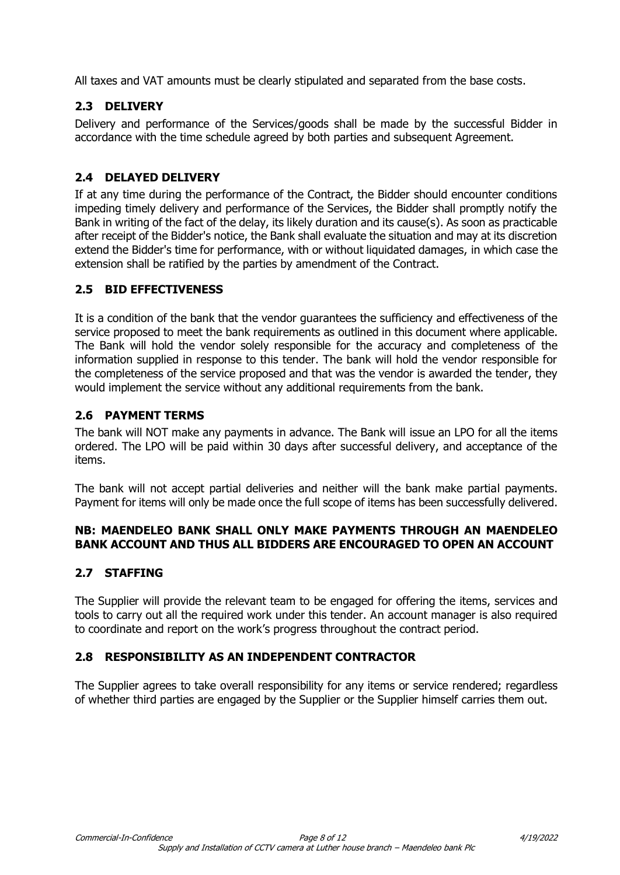All taxes and VAT amounts must be clearly stipulated and separated from the base costs.

# **2.3 DELIVERY**

Delivery and performance of the Services/goods shall be made by the successful Bidder in accordance with the time schedule agreed by both parties and subsequent Agreement.

## **2.4 DELAYED DELIVERY**

If at any time during the performance of the Contract, the Bidder should encounter conditions impeding timely delivery and performance of the Services, the Bidder shall promptly notify the Bank in writing of the fact of the delay, its likely duration and its cause(s). As soon as practicable after receipt of the Bidder's notice, the Bank shall evaluate the situation and may at its discretion extend the Bidder's time for performance, with or without liquidated damages, in which case the extension shall be ratified by the parties by amendment of the Contract.

# **2.5 BID EFFECTIVENESS**

It is a condition of the bank that the vendor guarantees the sufficiency and effectiveness of the service proposed to meet the bank requirements as outlined in this document where applicable. The Bank will hold the vendor solely responsible for the accuracy and completeness of the information supplied in response to this tender. The bank will hold the vendor responsible for the completeness of the service proposed and that was the vendor is awarded the tender, they would implement the service without any additional requirements from the bank.

# **2.6 PAYMENT TERMS**

The bank will NOT make any payments in advance. The Bank will issue an LPO for all the items ordered. The LPO will be paid within 30 days after successful delivery, and acceptance of the items.

The bank will not accept partial deliveries and neither will the bank make partial payments. Payment for items will only be made once the full scope of items has been successfully delivered.

## **NB: MAENDELEO BANK SHALL ONLY MAKE PAYMENTS THROUGH AN MAENDELEO BANK ACCOUNT AND THUS ALL BIDDERS ARE ENCOURAGED TO OPEN AN ACCOUNT**

## **2.7 STAFFING**

The Supplier will provide the relevant team to be engaged for offering the items, services and tools to carry out all the required work under this tender. An account manager is also required to coordinate and report on the work's progress throughout the contract period.

## **2.8 RESPONSIBILITY AS AN INDEPENDENT CONTRACTOR**

The Supplier agrees to take overall responsibility for any items or service rendered; regardless of whether third parties are engaged by the Supplier or the Supplier himself carries them out.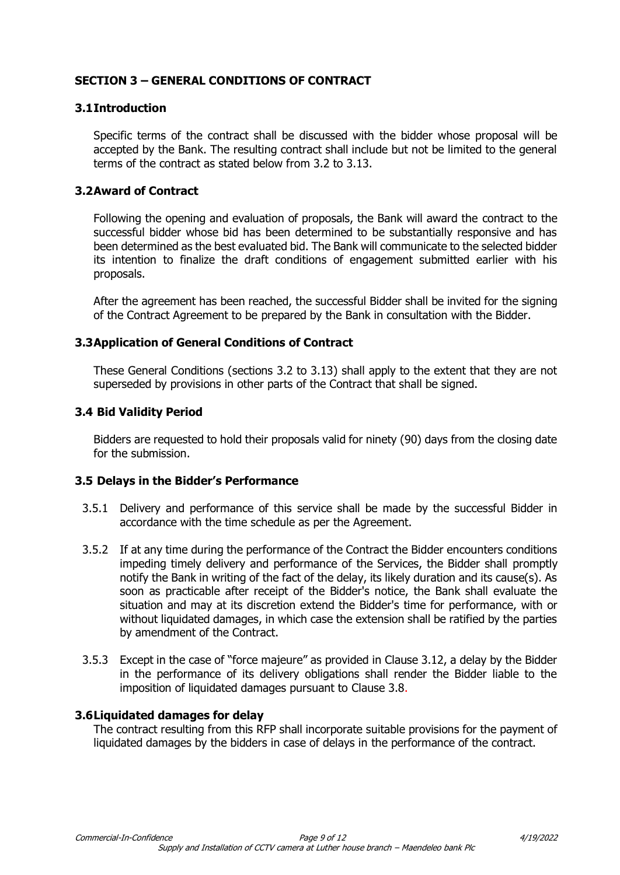# **SECTION 3 – GENERAL CONDITIONS OF CONTRACT**

#### **3.1Introduction**

Specific terms of the contract shall be discussed with the bidder whose proposal will be accepted by the Bank. The resulting contract shall include but not be limited to the general terms of the contract as stated below from 3.2 to 3.13.

#### **3.2Award of Contract**

Following the opening and evaluation of proposals, the Bank will award the contract to the successful bidder whose bid has been determined to be substantially responsive and has been determined as the best evaluated bid. The Bank will communicate to the selected bidder its intention to finalize the draft conditions of engagement submitted earlier with his proposals.

After the agreement has been reached, the successful Bidder shall be invited for the signing of the Contract Agreement to be prepared by the Bank in consultation with the Bidder.

#### **3.3Application of General Conditions of Contract**

These General Conditions (sections 3.2 to 3.13) shall apply to the extent that they are not superseded by provisions in other parts of the Contract that shall be signed.

#### **3.4 Bid Validity Period**

Bidders are requested to hold their proposals valid for ninety (90) days from the closing date for the submission.

#### **3.5 Delays in the Bidder's Performance**

- 3.5.1 Delivery and performance of this service shall be made by the successful Bidder in accordance with the time schedule as per the Agreement.
- 3.5.2 If at any time during the performance of the Contract the Bidder encounters conditions impeding timely delivery and performance of the Services, the Bidder shall promptly notify the Bank in writing of the fact of the delay, its likely duration and its cause(s). As soon as practicable after receipt of the Bidder's notice, the Bank shall evaluate the situation and may at its discretion extend the Bidder's time for performance, with or without liquidated damages, in which case the extension shall be ratified by the parties by amendment of the Contract.
- 3.5.3 Except in the case of "force majeure" as provided in Clause 3.12, a delay by the Bidder in the performance of its delivery obligations shall render the Bidder liable to the imposition of liquidated damages pursuant to Clause 3.8.

#### **3.6Liquidated damages for delay**

The contract resulting from this RFP shall incorporate suitable provisions for the payment of liquidated damages by the bidders in case of delays in the performance of the contract.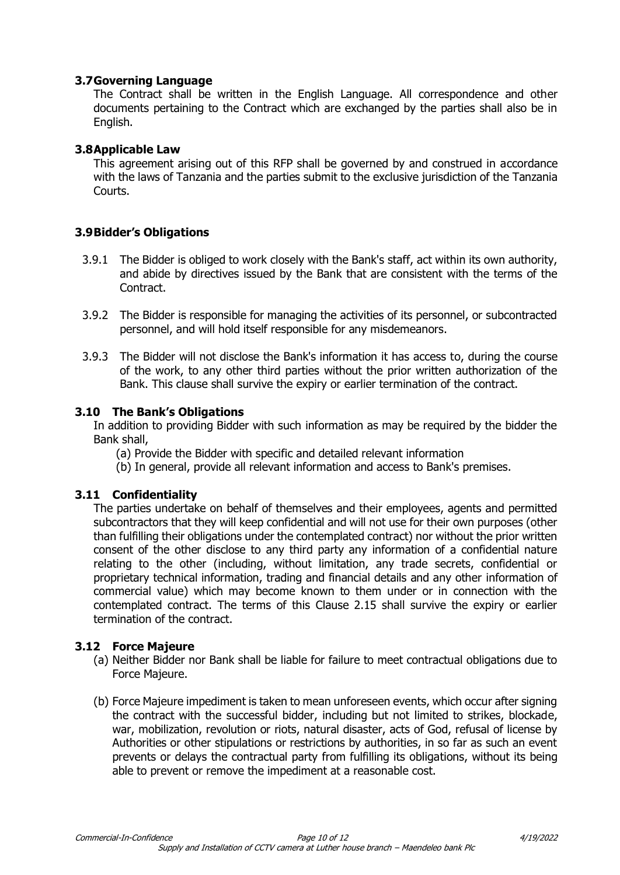#### **3.7Governing Language**

The Contract shall be written in the English Language. All correspondence and other documents pertaining to the Contract which are exchanged by the parties shall also be in English.

#### **3.8Applicable Law**

This agreement arising out of this RFP shall be governed by and construed in accordance with the laws of Tanzania and the parties submit to the exclusive jurisdiction of the Tanzania Courts.

## **3.9Bidder's Obligations**

- 3.9.1 The Bidder is obliged to work closely with the Bank's staff, act within its own authority, and abide by directives issued by the Bank that are consistent with the terms of the Contract.
- 3.9.2 The Bidder is responsible for managing the activities of its personnel, or subcontracted personnel, and will hold itself responsible for any misdemeanors.
- 3.9.3 The Bidder will not disclose the Bank's information it has access to, during the course of the work, to any other third parties without the prior written authorization of the Bank. This clause shall survive the expiry or earlier termination of the contract.

#### **3.10 The Bank's Obligations**

In addition to providing Bidder with such information as may be required by the bidder the Bank shall,

- (a) Provide the Bidder with specific and detailed relevant information
- (b) In general, provide all relevant information and access to Bank's premises.

#### **3.11 Confidentiality**

The parties undertake on behalf of themselves and their employees, agents and permitted subcontractors that they will keep confidential and will not use for their own purposes (other than fulfilling their obligations under the contemplated contract) nor without the prior written consent of the other disclose to any third party any information of a confidential nature relating to the other (including, without limitation, any trade secrets, confidential or proprietary technical information, trading and financial details and any other information of commercial value) which may become known to them under or in connection with the contemplated contract. The terms of this Clause 2.15 shall survive the expiry or earlier termination of the contract.

#### **3.12 Force Majeure**

- (a) Neither Bidder nor Bank shall be liable for failure to meet contractual obligations due to Force Majeure.
- (b) Force Majeure impediment is taken to mean unforeseen events, which occur after signing the contract with the successful bidder, including but not limited to strikes, blockade, war, mobilization, revolution or riots, natural disaster, acts of God, refusal of license by Authorities or other stipulations or restrictions by authorities, in so far as such an event prevents or delays the contractual party from fulfilling its obligations, without its being able to prevent or remove the impediment at a reasonable cost.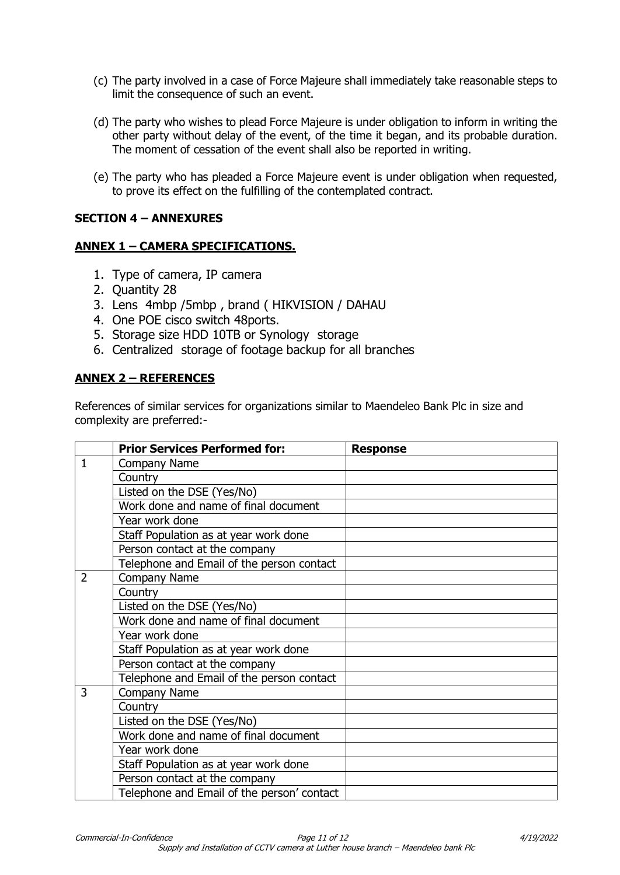- (c) The party involved in a case of Force Majeure shall immediately take reasonable steps to limit the consequence of such an event.
- (d) The party who wishes to plead Force Majeure is under obligation to inform in writing the other party without delay of the event, of the time it began, and its probable duration. The moment of cessation of the event shall also be reported in writing.
- (e) The party who has pleaded a Force Majeure event is under obligation when requested, to prove its effect on the fulfilling of the contemplated contract.

#### **SECTION 4 – ANNEXURES**

#### **ANNEX 1 – CAMERA SPECIFICATIONS.**

- 1. Type of camera, IP camera
- 2. Quantity 28
- 3. Lens 4mbp /5mbp , brand ( HIKVISION / DAHAU
- 4. One POE cisco switch 48ports.
- 5. Storage size HDD 10TB or Synology storage
- 6. Centralized storage of footage backup for all branches

#### **ANNEX 2 – REFERENCES**

References of similar services for organizations similar to Maendeleo Bank Plc in size and complexity are preferred:-

|                | <b>Prior Services Performed for:</b>       | <b>Response</b> |
|----------------|--------------------------------------------|-----------------|
| $\mathbf{1}$   | Company Name                               |                 |
|                | Country                                    |                 |
|                | Listed on the DSE (Yes/No)                 |                 |
|                | Work done and name of final document       |                 |
|                | Year work done                             |                 |
|                | Staff Population as at year work done      |                 |
|                | Person contact at the company              |                 |
|                | Telephone and Email of the person contact  |                 |
| $\overline{2}$ | Company Name                               |                 |
|                | Country                                    |                 |
|                | Listed on the DSE (Yes/No)                 |                 |
|                | Work done and name of final document       |                 |
|                | Year work done                             |                 |
|                | Staff Population as at year work done      |                 |
|                | Person contact at the company              |                 |
|                | Telephone and Email of the person contact  |                 |
| 3              | Company Name                               |                 |
|                | Country                                    |                 |
|                | Listed on the DSE (Yes/No)                 |                 |
|                | Work done and name of final document       |                 |
|                | Year work done                             |                 |
|                | Staff Population as at year work done      |                 |
|                | Person contact at the company              |                 |
|                | Telephone and Email of the person' contact |                 |